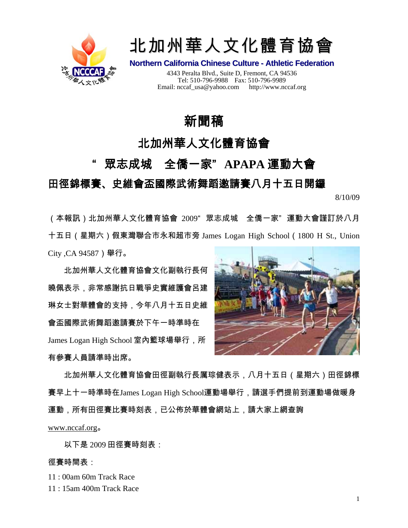



**Northern California Chinese Culture - Athletic Federation**

4343 Peralta Blvd., Suite D, Fremont, CA 94536 Tel: 510-796-9988 Fax: 510-796-9989 Email: nccaf\_usa@yahoo.com http://www.nccaf.org

# 新聞稿

## 北加州華人文化體育協會

## " 眾志成城 全僑一家" **APAPA** 運動大會

## 田徑錦標賽、史維會盃國際武術舞蹈邀請賽八月十五日開鑼

8/10/09

(本報訊)北加州華人文化體育協會 2009" 眾志成城 全僑一家" 運動大會謹訂於八月 十五日(星期六)假東灣聯合市永和超市旁 James Logan High School(1800 H St., Union City ,CA 94587)舉行。

北加州華人文化體育協會文化副執行長何 曉佩表示,非常感謝抗日戰爭史實維護會呂建 琳女士對華體會的支持,今年八月十五日史維 會盃國際武術舞蹈邀請賽於下午一時準時在 James Logan High School 室內籃球場舉行,所 有參賽人員請準時出席。



北加州華人文化體育協會田徑副執行長厲琮健表示,八月十五日(星期六)田徑錦標 賽早上十一時準時在James Logan High School運動場舉行,請選手們提前到運動場做暖身 運動,所有田徑賽比賽時刻表,已公佈於華體會網站上,請大家上網查詢

[www.nccaf.org](http://www.nccaf.org/)。

以下是 2009 田徑賽時刻表:

#### 徑賽時間表:

11 : 00am 60m Track Race

11 : 15am 400m Track Race